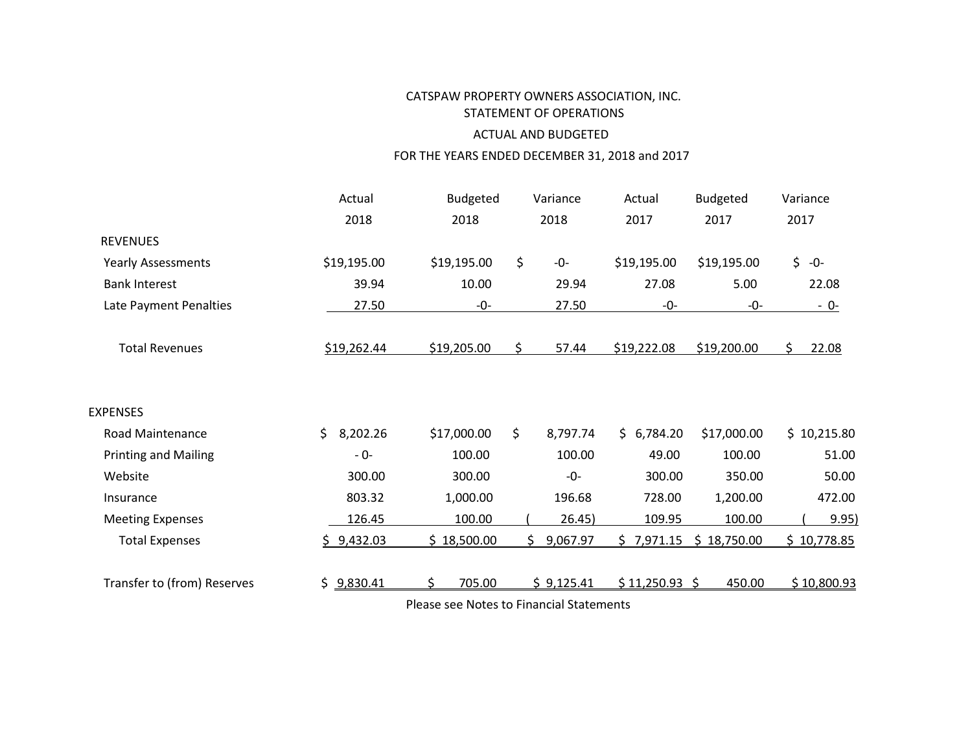# CATSPAW PROPERTY OWNERS ASSOCIATION, INC. STATEMENT OF OPERATIONS ACTUAL AND BUDGETED

# FOR THE YEARS ENDED DECEMBER 31, 2018 and 2017

|                             | Actual         | <b>Budgeted</b>                                          | Variance        | Actual        | <b>Budgeted</b> | Variance    |
|-----------------------------|----------------|----------------------------------------------------------|-----------------|---------------|-----------------|-------------|
|                             | 2018           | 2018                                                     | 2018            | 2017          | 2017            | 2017        |
| <b>REVENUES</b>             |                |                                                          |                 |               |                 |             |
| <b>Yearly Assessments</b>   | \$19,195.00    | \$19,195.00                                              | \$<br>$-0-$     | \$19,195.00   | \$19,195.00     | $$ -0-$     |
| <b>Bank Interest</b>        | 39.94          | 10.00                                                    | 29.94           | 27.08         | 5.00            | 22.08       |
| Late Payment Penalties      | 27.50          | -0-                                                      | 27.50           | -0-           | -0-             | $-0-$       |
| <b>Total Revenues</b>       | \$19,262.44    | \$19,205.00                                              | 57.44<br>\$.    | \$19,222.08   | \$19,200.00     | 22.08<br>S. |
| <b>EXPENSES</b>             |                |                                                          |                 |               |                 |             |
| <b>Road Maintenance</b>     | \$<br>8,202.26 | \$17,000.00                                              | \$<br>8,797.74  | \$6,784.20    | \$17,000.00     | \$10,215.80 |
| <b>Printing and Mailing</b> | $-0-$          | 100.00                                                   | 100.00          | 49.00         | 100.00          | 51.00       |
| Website                     | 300.00         | 300.00                                                   | $-0-$           | 300.00        | 350.00          | 50.00       |
| Insurance                   | 803.32         | 1,000.00                                                 | 196.68          | 728.00        | 1,200.00        | 472.00      |
| <b>Meeting Expenses</b>     | 126.45         | 100.00                                                   | 26.45)          | 109.95        | 100.00          | 9.95)       |
| <b>Total Expenses</b>       | \$9,432.03     | \$18,500.00                                              | 9,067.97<br>\$. | \$7,971.15    | \$18,750.00     | \$10,778.85 |
| Transfer to (from) Reserves | \$9,830.41     | 705.00<br>\$<br>Please see Notes to Financial Statements | \$9,125.41      | \$11,250.93\$ | 450.00          | \$10,800.93 |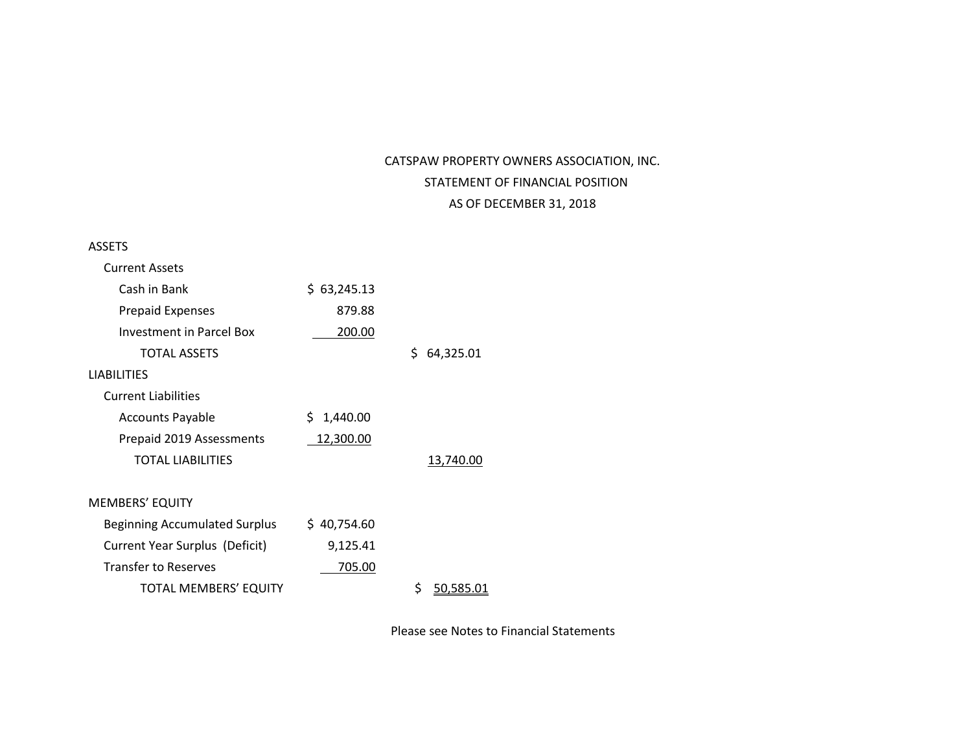# CATSPAW PROPERTY OWNERS ASSOCIATION, INC. STATEMENT OF FINANCIAL POSITION AS OF DECEMBER 31, 2018

#### ASSETS

| Current Assets                       |                 |                 |
|--------------------------------------|-----------------|-----------------|
| Cash in Bank                         | \$63,245.13     |                 |
| <b>Prepaid Expenses</b>              | 879.88          |                 |
| Investment in Parcel Box             | 200.00          |                 |
| <b>TOTAL ASSETS</b>                  |                 | Ś.<br>64,325.01 |
| <b>LIABILITIES</b>                   |                 |                 |
| <b>Current Liabilities</b>           |                 |                 |
| <b>Accounts Payable</b>              | \$.<br>1,440.00 |                 |
| Prepaid 2019 Assessments             | 12,300.00       |                 |
| <b>TOTAL LIABILITIES</b>             |                 | 13,740.00       |
|                                      |                 |                 |
| <b>MEMBERS' EQUITY</b>               |                 |                 |
| <b>Beginning Accumulated Surplus</b> | \$40,754.60     |                 |
| Current Year Surplus (Deficit)       | 9,125.41        |                 |
| <b>Transfer to Reserves</b>          | 705.00          |                 |
| <b>TOTAL MEMBERS' EQUITY</b>         |                 | 50.585.01       |
|                                      |                 |                 |

Please see Notes to Financial Statements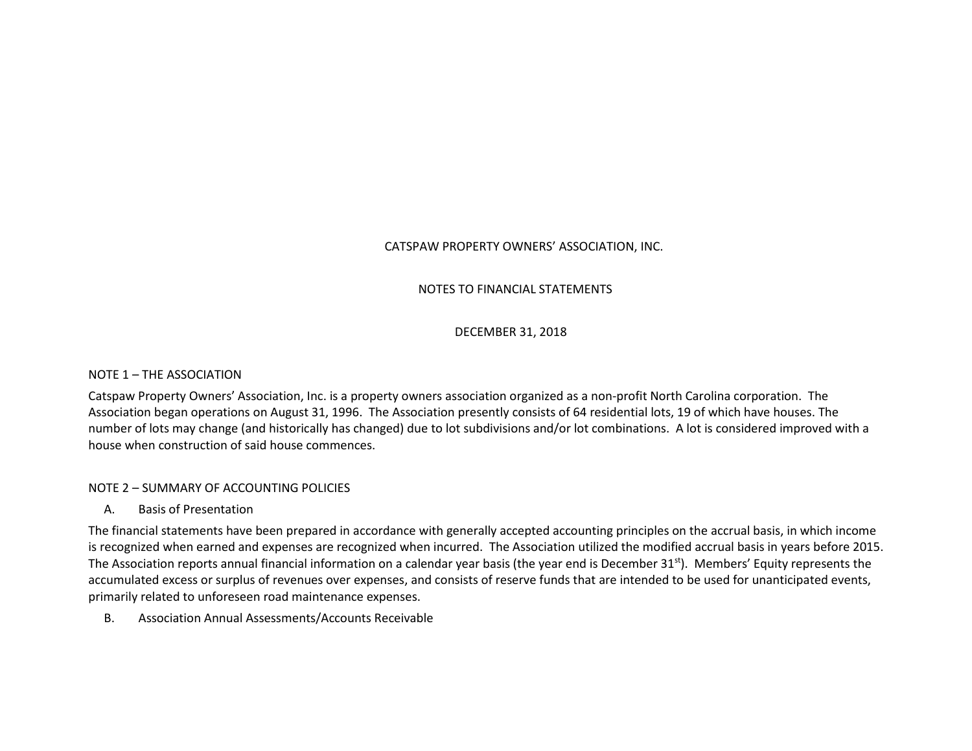# CATSPAW PROPERTY OWNERS' ASSOCIATION, INC.

# NOTES TO FINANCIAL STATEMENTS

## DECEMBER 31, 2018

#### NOTE 1 – THE ASSOCIATION

Catspaw Property Owners' Association, Inc. is a property owners association organized as a non-profit North Carolina corporation. The Association began operations on August 31, 1996. The Association presently consists of 64 residential lots, 19 of which have houses. The number of lots may change (and historically has changed) due to lot subdivisions and/or lot combinations. A lot is considered improved with a house when construction of said house commences.

# NOTE 2 – SUMMARY OF ACCOUNTING POLICIES

#### A. Basis of Presentation

The financial statements have been prepared in accordance with generally accepted accounting principles on the accrual basis, in which income is recognized when earned and expenses are recognized when incurred. The Association utilized the modified accrual basis in years before 2015. The Association reports annual financial information on a calendar year basis (the year end is December 31<sup>st</sup>). Members' Equity represents the accumulated excess or surplus of revenues over expenses, and consists of reserve funds that are intended to be used for unanticipated events, primarily related to unforeseen road maintenance expenses.

B. Association Annual Assessments/Accounts Receivable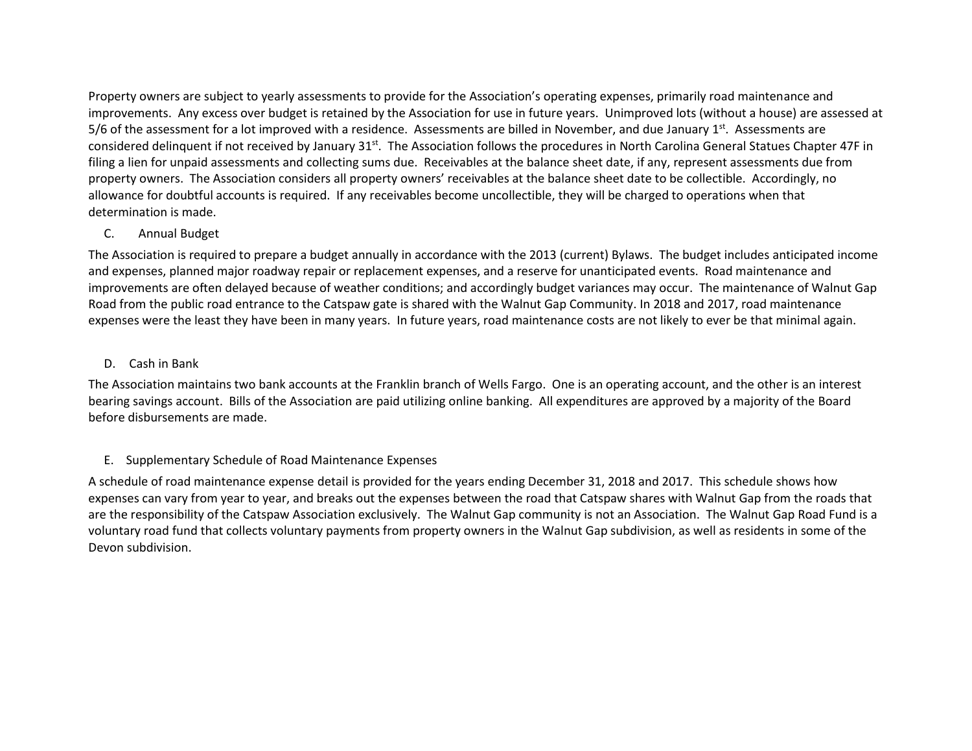Property owners are subject to yearly assessments to provide for the Association's operating expenses, primarily road maintenance and improvements. Any excess over budget is retained by the Association for use in future years. Unimproved lots (without a house) are assessed at 5/6 of the assessment for a lot improved with a residence. Assessments are billed in November, and due January  $1<sup>st</sup>$ . Assessments are considered delinquent if not received by January 31st. The Association follows the procedures in North Carolina General Statues Chapter 47F in filing a lien for unpaid assessments and collecting sums due. Receivables at the balance sheet date, if any, represent assessments due from property owners. The Association considers all property owners' receivables at the balance sheet date to be collectible. Accordingly, no allowance for doubtful accounts is required. If any receivables become uncollectible, they will be charged to operations when that determination is made.

## C. Annual Budget

The Association is required to prepare a budget annually in accordance with the 2013 (current) Bylaws. The budget includes anticipated income and expenses, planned major roadway repair or replacement expenses, and a reserve for unanticipated events. Road maintenance and improvements are often delayed because of weather conditions; and accordingly budget variances may occur. The maintenance of Walnut Gap Road from the public road entrance to the Catspaw gate is shared with the Walnut Gap Community. In 2018 and 2017, road maintenance expenses were the least they have been in many years. In future years, road maintenance costs are not likely to ever be that minimal again.

## D. Cash in Bank

The Association maintains two bank accounts at the Franklin branch of Wells Fargo. One is an operating account, and the other is an interest bearing savings account. Bills of the Association are paid utilizing online banking. All expenditures are approved by a majority of the Board before disbursements are made.

# E. Supplementary Schedule of Road Maintenance Expenses

A schedule of road maintenance expense detail is provided for the years ending December 31, 2018 and 2017. This schedule shows how expenses can vary from year to year, and breaks out the expenses between the road that Catspaw shares with Walnut Gap from the roads that are the responsibility of the Catspaw Association exclusively. The Walnut Gap community is not an Association. The Walnut Gap Road Fund is a voluntary road fund that collects voluntary payments from property owners in the Walnut Gap subdivision, as well as residents in some of the Devon subdivision.